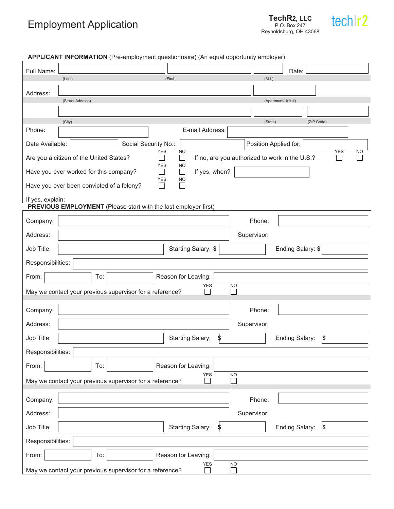## Employment Application

**TechR2, LLC** P.O. Box 247 Reynoldsburg, OH 43068



| APPLICANT INFORMATION (Pre-employment questionnaire) (An equal opportunity employer) |                                                                                                               |  |  |
|--------------------------------------------------------------------------------------|---------------------------------------------------------------------------------------------------------------|--|--|
| Full Name:                                                                           | Date:                                                                                                         |  |  |
|                                                                                      | (Last)<br>(First)<br>(M.I.)                                                                                   |  |  |
| Address:                                                                             |                                                                                                               |  |  |
|                                                                                      | (Apartment/Unit #)<br>(Street Address)                                                                        |  |  |
|                                                                                      |                                                                                                               |  |  |
| Phone:                                                                               | (City)<br>(ZIP Code)<br>(State)<br>E-mail Address:                                                            |  |  |
|                                                                                      |                                                                                                               |  |  |
| Date Available:                                                                      | Social Security No.:<br>Position Applied for:<br><b>YES</b><br>ΝO<br>NO<br>YES                                |  |  |
|                                                                                      | If no, are you authorized to work in the U.S.?<br>Are you a citizen of the United States?<br><b>YES</b><br>NO |  |  |
|                                                                                      | If yes, when?<br>$\Box$<br>Have you ever worked for this company?<br>$\Box$                                   |  |  |
|                                                                                      | <b>YES</b><br><b>NO</b><br>Have you ever been convicted of a felony?<br>П<br>$\Box$                           |  |  |
| If yes, explain:                                                                     |                                                                                                               |  |  |
|                                                                                      | <b>PREVIOUS EMPLOYMENT</b> (Please start with the last employer first)                                        |  |  |
| Company:                                                                             | Phone:                                                                                                        |  |  |
| Address:                                                                             | Supervisor:                                                                                                   |  |  |
| Job Title:                                                                           | Ending Salary: \$<br>Starting Salary: \$                                                                      |  |  |
| Responsibilities:                                                                    |                                                                                                               |  |  |
| From:                                                                                | Reason for Leaving:<br>To:                                                                                    |  |  |
|                                                                                      | <b>NO</b><br><b>YES</b><br>May we contact your previous supervisor for a reference?<br>ΙI                     |  |  |
| Company:                                                                             | Phone:                                                                                                        |  |  |
| Address:                                                                             | Supervisor:                                                                                                   |  |  |
| Job Title:                                                                           | $\vert \mathsf{s}$<br><b>Starting Salary:</b><br>\$<br>Ending Salary:                                         |  |  |
| Responsibilities:                                                                    |                                                                                                               |  |  |
| From:                                                                                | Reason for Leaving:<br>To:                                                                                    |  |  |
|                                                                                      | <b>NO</b><br>YES<br>May we contact your previous supervisor for a reference?<br>$\mathsf{L}$                  |  |  |
| Company:                                                                             | Phone:                                                                                                        |  |  |
| Address:                                                                             | Supervisor:                                                                                                   |  |  |
| Job Title:                                                                           | <b>Starting Salary:</b><br>Ending Salary:<br>$\vert \mathsf{s}$<br>\$                                         |  |  |
| Responsibilities:                                                                    |                                                                                                               |  |  |
| From:                                                                                | To:<br>Reason for Leaving:                                                                                    |  |  |
|                                                                                      | <b>YES</b><br><b>NO</b><br>May we contact your previous supervisor for a reference?                           |  |  |